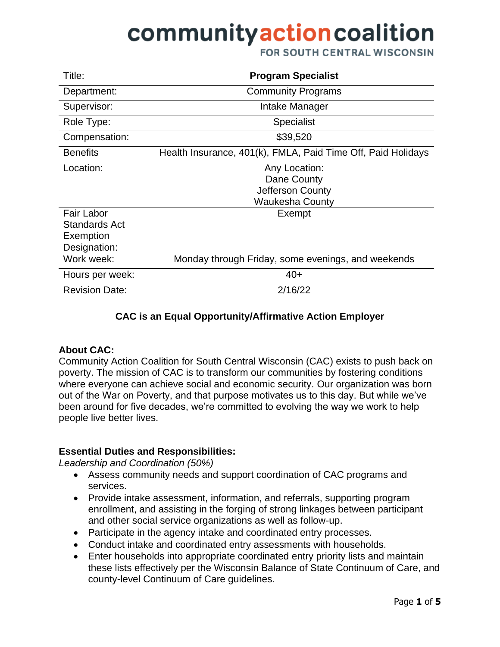FOR SOUTH CENTRAL WISCONSIN

| Title:                                                          | <b>Program Specialist</b>                                                  |
|-----------------------------------------------------------------|----------------------------------------------------------------------------|
| Department:                                                     | <b>Community Programs</b>                                                  |
| Supervisor:                                                     | Intake Manager                                                             |
| Role Type:                                                      | <b>Specialist</b>                                                          |
| Compensation:                                                   | \$39,520                                                                   |
| <b>Benefits</b>                                                 | Health Insurance, 401(k), FMLA, Paid Time Off, Paid Holidays               |
| Location:                                                       | Any Location:<br>Dane County<br>Jefferson County<br><b>Waukesha County</b> |
| <b>Fair Labor</b><br>Standards Act<br>Exemption<br>Designation: | Exempt                                                                     |
| Work week:                                                      | Monday through Friday, some evenings, and weekends                         |
| Hours per week:                                                 | $40+$                                                                      |
| <b>Revision Date:</b>                                           | 2/16/22                                                                    |

### **CAC is an Equal Opportunity/Affirmative Action Employer**

#### **About CAC:**

Community Action Coalition for South Central Wisconsin (CAC) exists to push back on poverty. The mission of CAC is to transform our communities by fostering conditions where everyone can achieve social and economic security. Our organization was born out of the War on Poverty, and that purpose motivates us to this day. But while we've been around for five decades, we're committed to evolving the way we work to help people live better lives.

### **Essential Duties and Responsibilities:**

*Leadership and Coordination (50%)*

- Assess community needs and support coordination of CAC programs and services.
- Provide intake assessment, information, and referrals, supporting program enrollment, and assisting in the forging of strong linkages between participant and other social service organizations as well as follow-up.
- Participate in the agency intake and coordinated entry processes.
- Conduct intake and coordinated entry assessments with households.
- Enter households into appropriate coordinated entry priority lists and maintain these lists effectively per the Wisconsin Balance of State Continuum of Care, and county-level Continuum of Care guidelines.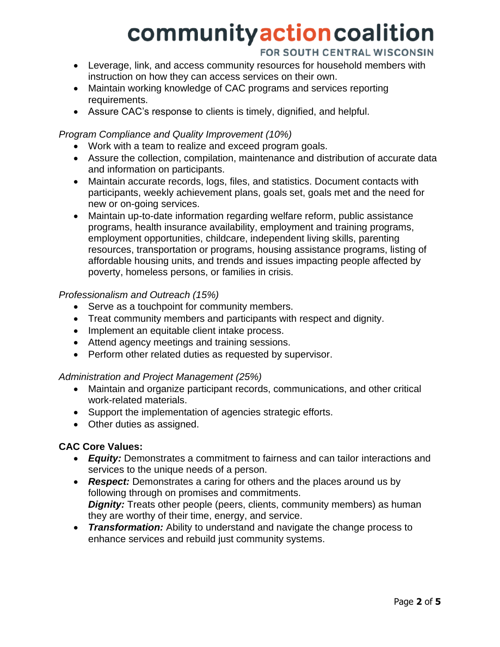### FOR SOUTH CENTRAL WISCONSIN

- Leverage, link, and access community resources for household members with instruction on how they can access services on their own.
- Maintain working knowledge of CAC programs and services reporting requirements.
- Assure CAC's response to clients is timely, dignified, and helpful.

### *Program Compliance and Quality Improvement (10%)*

- Work with a team to realize and exceed program goals.
- Assure the collection, compilation, maintenance and distribution of accurate data and information on participants.
- Maintain accurate records, logs, files, and statistics. Document contacts with participants, weekly achievement plans, goals set, goals met and the need for new or on-going services.
- Maintain up-to-date information regarding welfare reform, public assistance programs, health insurance availability, employment and training programs, employment opportunities, childcare, independent living skills, parenting resources, transportation or programs, housing assistance programs, listing of affordable housing units, and trends and issues impacting people affected by poverty, homeless persons, or families in crisis.

### *Professionalism and Outreach (15%)*

- Serve as a touchpoint for community members.
- Treat community members and participants with respect and dignity.
- Implement an equitable client intake process.
- Attend agency meetings and training sessions.
- Perform other related duties as requested by supervisor.

### *Administration and Project Management (25%)*

- Maintain and organize participant records, communications, and other critical work-related materials.
- Support the implementation of agencies strategic efforts.
- Other duties as assigned.

### **CAC Core Values:**

- *Equity:* Demonstrates a commitment to fairness and can tailor interactions and services to the unique needs of a person.
- *Respect:* Demonstrates a caring for others and the places around us by following through on promises and commitments. *Dignity:* Treats other people (peers, clients, community members) as human they are worthy of their time, energy, and service.
- *Transformation:* Ability to understand and navigate the change process to enhance services and rebuild just community systems.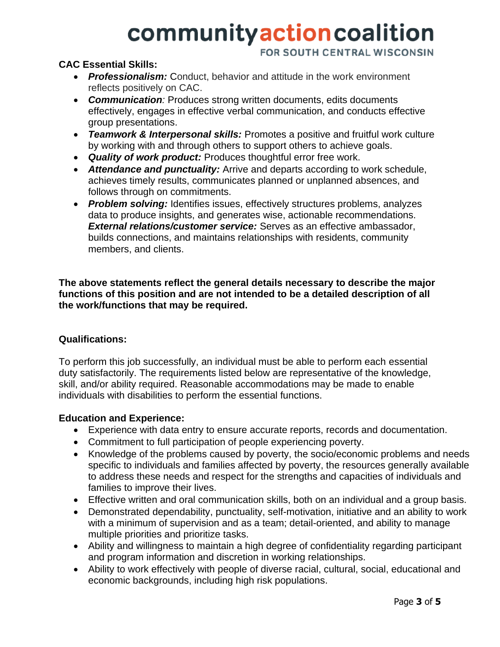FOR SOUTH CENTRAL WISCONSIN

### **CAC Essential Skills:**

- *Professionalism:* Conduct, behavior and attitude in the work environment reflects positively on CAC.
- *Communication:* Produces strong written documents, edits documents effectively, engages in effective verbal communication, and conducts effective group presentations.
- *Teamwork & Interpersonal skills:* Promotes a positive and fruitful work culture by working with and through others to support others to achieve goals.
- *Quality of work product:* Produces thoughtful error free work.
- *Attendance and punctuality:* Arrive and departs according to work schedule, achieves timely results, communicates planned or unplanned absences, and follows through on commitments.
- *Problem solving:* Identifies issues, effectively structures problems, analyzes data to produce insights, and generates wise, actionable recommendations. *External relations/customer service:* Serves as an effective ambassador, builds connections, and maintains relationships with residents, community members, and clients.

**The above statements reflect the general details necessary to describe the major functions of this position and are not intended to be a detailed description of all the work/functions that may be required.**

### **Qualifications:**

To perform this job successfully, an individual must be able to perform each essential duty satisfactorily. The requirements listed below are representative of the knowledge, skill, and/or ability required. Reasonable accommodations may be made to enable individuals with disabilities to perform the essential functions.

### **Education and Experience:**

- Experience with data entry to ensure accurate reports, records and documentation.
- Commitment to full participation of people experiencing poverty.
- Knowledge of the problems caused by poverty, the socio/economic problems and needs specific to individuals and families affected by poverty, the resources generally available to address these needs and respect for the strengths and capacities of individuals and families to improve their lives.
- Effective written and oral communication skills, both on an individual and a group basis.
- Demonstrated dependability, punctuality, self-motivation, initiative and an ability to work with a minimum of supervision and as a team; detail-oriented, and ability to manage multiple priorities and prioritize tasks.
- Ability and willingness to maintain a high degree of confidentiality regarding participant and program information and discretion in working relationships.
- Ability to work effectively with people of diverse racial, cultural, social, educational and economic backgrounds, including high risk populations.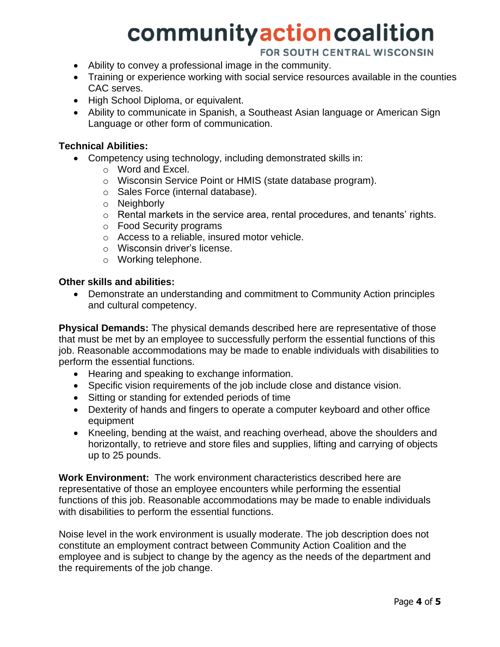### FOR SOUTH CENTRAL WISCONSIN

- Ability to convey a professional image in the community.
- Training or experience working with social service resources available in the counties CAC serves.
- High School Diploma, or equivalent.
- Ability to communicate in Spanish, a Southeast Asian language or American Sign Language or other form of communication.

#### **Technical Abilities:**

- Competency using technology, including demonstrated skills in:
	- o Word and Excel.
		- o Wisconsin Service Point or HMIS (state database program).
		- o Sales Force (internal database).
		- o Neighborly
		- o Rental markets in the service area, rental procedures, and tenants' rights.
		- o Food Security programs
		- o Access to a reliable, insured motor vehicle.
		- o Wisconsin driver's license.
		- o Working telephone.

#### **Other skills and abilities:**

• Demonstrate an understanding and commitment to Community Action principles and cultural competency.

**Physical Demands:** The physical demands described here are representative of those that must be met by an employee to successfully perform the essential functions of this job. Reasonable accommodations may be made to enable individuals with disabilities to perform the essential functions.

- Hearing and speaking to exchange information.
- Specific vision requirements of the job include close and distance vision.
- Sitting or standing for extended periods of time
- Dexterity of hands and fingers to operate a computer keyboard and other office equipment
- Kneeling, bending at the waist, and reaching overhead, above the shoulders and horizontally, to retrieve and store files and supplies, lifting and carrying of objects up to 25 pounds.

**Work Environment:** The work environment characteristics described here are representative of those an employee encounters while performing the essential functions of this job. Reasonable accommodations may be made to enable individuals with disabilities to perform the essential functions.

Noise level in the work environment is usually moderate. The job description does not constitute an employment contract between Community Action Coalition and the employee and is subject to change by the agency as the needs of the department and the requirements of the job change.